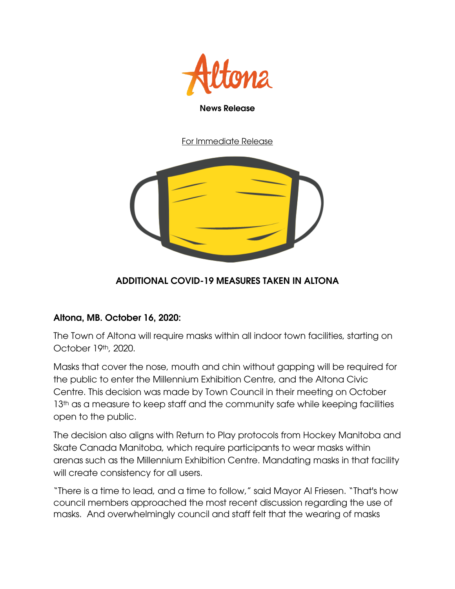

For Immediate Release



## ADDITIONAL COVID-19 MEASURES TAKEN IN ALTONA

## Altona, MB. October 16, 2020:

The Town of Altona will require masks within all indoor town facilities, starting on October 19th, 2020.

Masks that cover the nose, mouth and chin without gapping will be required for the public to enter the Millennium Exhibition Centre, and the Altona Civic Centre. This decision was made by Town Council in their meeting on October 13<sup>th</sup> as a measure to keep staff and the community safe while keeping facilities open to the public.

The decision also aligns with Return to Play protocols from Hockey Manitoba and Skate Canada Manitoba, which require participants to wear masks within arenas such as the Millennium Exhibition Centre. Mandating masks in that facility will create consistency for all users.

"There is a time to lead, and a time to follow," said Mayor Al Friesen. "That's how council members approached the most recent discussion regarding the use of masks. And overwhelmingly council and staff felt that the wearing of masks